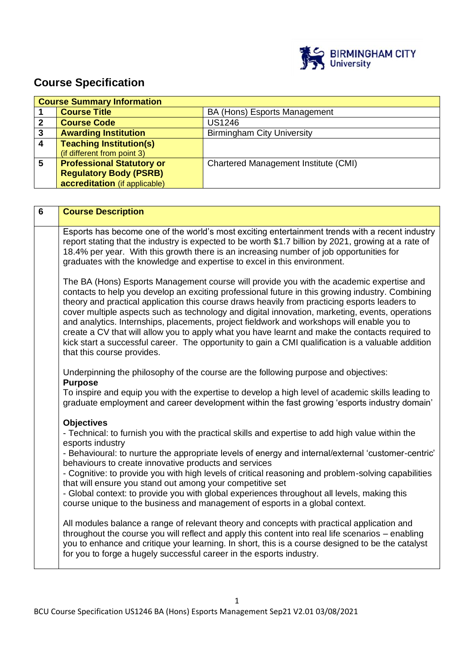

# **Course Specification**

|   | <b>Course Summary Information</b> |                                      |  |  |
|---|-----------------------------------|--------------------------------------|--|--|
|   | <b>Course Title</b>               | BA (Hons) Esports Management         |  |  |
|   | <b>Course Code</b>                | <b>US1246</b>                        |  |  |
| 3 | <b>Awarding Institution</b>       | <b>Birmingham City University</b>    |  |  |
|   | <b>Teaching Institution(s)</b>    |                                      |  |  |
|   | (if different from point 3)       |                                      |  |  |
| 5 | <b>Professional Statutory or</b>  | Chartered Management Institute (CMI) |  |  |
|   | <b>Regulatory Body (PSRB)</b>     |                                      |  |  |
|   | accreditation (if applicable)     |                                      |  |  |

| $6\phantom{1}$ | <b>Course Description</b>                                                                                                                                                                                                                                                                                                                                                                                                                                                                                                                                                                                                                                                                                                                                                                                                                                                                                                                                                                                                                    |
|----------------|----------------------------------------------------------------------------------------------------------------------------------------------------------------------------------------------------------------------------------------------------------------------------------------------------------------------------------------------------------------------------------------------------------------------------------------------------------------------------------------------------------------------------------------------------------------------------------------------------------------------------------------------------------------------------------------------------------------------------------------------------------------------------------------------------------------------------------------------------------------------------------------------------------------------------------------------------------------------------------------------------------------------------------------------|
|                | Esports has become one of the world's most exciting entertainment trends with a recent industry<br>report stating that the industry is expected to be worth \$1.7 billion by 2021, growing at a rate of<br>18.4% per year. With this growth there is an increasing number of job opportunities for<br>graduates with the knowledge and expertise to excel in this environment.                                                                                                                                                                                                                                                                                                                                                                                                                                                                                                                                                                                                                                                               |
|                | The BA (Hons) Esports Management course will provide you with the academic expertise and<br>contacts to help you develop an exciting professional future in this growing industry. Combining<br>theory and practical application this course draws heavily from practicing esports leaders to<br>cover multiple aspects such as technology and digital innovation, marketing, events, operations<br>and analytics. Internships, placements, project fieldwork and workshops will enable you to<br>create a CV that will allow you to apply what you have learnt and make the contacts required to<br>kick start a successful career. The opportunity to gain a CMI qualification is a valuable addition<br>that this course provides.                                                                                                                                                                                                                                                                                                        |
|                | Underpinning the philosophy of the course are the following purpose and objectives:<br><b>Purpose</b><br>To inspire and equip you with the expertise to develop a high level of academic skills leading to<br>graduate employment and career development within the fast growing 'esports industry domain'                                                                                                                                                                                                                                                                                                                                                                                                                                                                                                                                                                                                                                                                                                                                   |
|                | <b>Objectives</b><br>- Technical: to furnish you with the practical skills and expertise to add high value within the<br>esports industry<br>- Behavioural: to nurture the appropriate levels of energy and internal/external 'customer-centric'<br>behaviours to create innovative products and services<br>- Cognitive: to provide you with high levels of critical reasoning and problem-solving capabilities<br>that will ensure you stand out among your competitive set<br>- Global context: to provide you with global experiences throughout all levels, making this<br>course unique to the business and management of esports in a global context.<br>All modules balance a range of relevant theory and concepts with practical application and<br>throughout the course you will reflect and apply this content into real life scenarios - enabling<br>you to enhance and critique your learning. In short, this is a course designed to be the catalyst<br>for you to forge a hugely successful career in the esports industry. |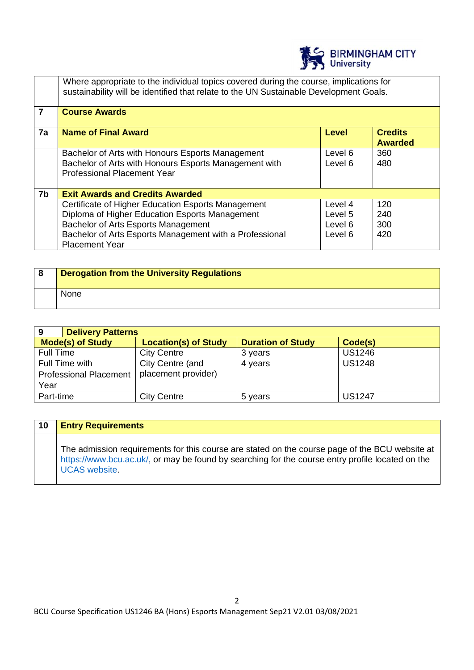

|    | Where appropriate to the individual topics covered during the course, implications for<br>sustainability will be identified that relate to the UN Sustainable Development Goals.                                                |                                          |                                  |  |
|----|---------------------------------------------------------------------------------------------------------------------------------------------------------------------------------------------------------------------------------|------------------------------------------|----------------------------------|--|
| 7  | <b>Course Awards</b>                                                                                                                                                                                                            |                                          |                                  |  |
| 7a | <b>Name of Final Award</b>                                                                                                                                                                                                      | Level                                    | <b>Credits</b><br><b>Awarded</b> |  |
|    | Bachelor of Arts with Honours Esports Management<br>Bachelor of Arts with Honours Esports Management with<br><b>Professional Placement Year</b>                                                                                 | Level 6<br>Level 6                       | 360<br>480                       |  |
| 7b | <b>Exit Awards and Credits Awarded</b>                                                                                                                                                                                          |                                          |                                  |  |
|    | Certificate of Higher Education Esports Management<br>Diploma of Higher Education Esports Management<br>Bachelor of Arts Esports Management<br>Bachelor of Arts Esports Management with a Professional<br><b>Placement Year</b> | Level 4<br>Level 5<br>Level 6<br>Level 6 | 120<br>240<br>300<br>420         |  |

| 8 | Derogation from the University Regulations |
|---|--------------------------------------------|
|   | None                                       |

| 9                             | <b>Delivery Patterns</b> |                             |                          |               |
|-------------------------------|--------------------------|-----------------------------|--------------------------|---------------|
| <b>Mode(s) of Study</b>       |                          | <b>Location(s) of Study</b> | <b>Duration of Study</b> | Code(s)       |
| Full Time                     |                          | <b>City Centre</b>          | 3 years                  | <b>US1246</b> |
| Full Time with                |                          | City Centre (and            | 4 years                  | <b>US1248</b> |
| <b>Professional Placement</b> |                          | placement provider)         |                          |               |
| Year                          |                          |                             |                          |               |
| Part-time                     |                          | <b>City Centre</b>          | 5 years                  | <b>US1247</b> |

# **10 Entry Requirements**

The admission requirements for this course are stated on the course page of the BCU website at https://www.bcu.ac.uk/, or may be found by searching for the course entry profile located on the UCAS website.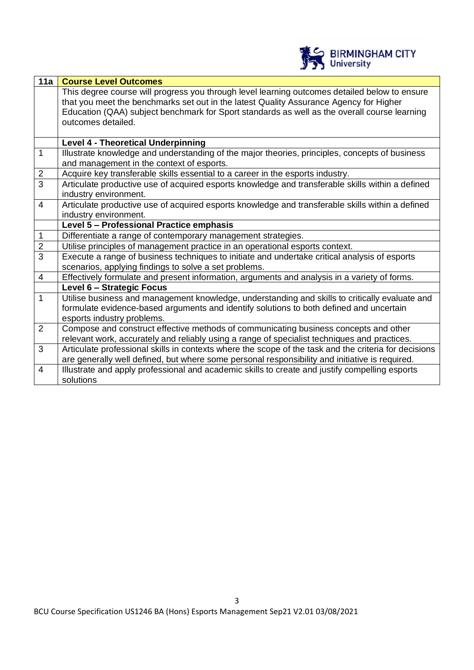

| <b>Course Level Outcomes</b>                                                                                                                                                            |
|-----------------------------------------------------------------------------------------------------------------------------------------------------------------------------------------|
| This degree course will progress you through level learning outcomes detailed below to ensure<br>that you meet the benchmarks set out in the latest Quality Assurance Agency for Higher |
| Education (QAA) subject benchmark for Sport standards as well as the overall course learning                                                                                            |
| outcomes detailed.                                                                                                                                                                      |
|                                                                                                                                                                                         |
| <b>Level 4 - Theoretical Underpinning</b>                                                                                                                                               |
| Illustrate knowledge and understanding of the major theories, principles, concepts of business                                                                                          |
| and management in the context of esports.                                                                                                                                               |
| Acquire key transferable skills essential to a career in the esports industry.                                                                                                          |
| Articulate productive use of acquired esports knowledge and transferable skills within a defined                                                                                        |
| industry environment.                                                                                                                                                                   |
| Articulate productive use of acquired esports knowledge and transferable skills within a defined                                                                                        |
| industry environment.                                                                                                                                                                   |
| Level 5 - Professional Practice emphasis                                                                                                                                                |
| Differentiate a range of contemporary management strategies.                                                                                                                            |
| Utilise principles of management practice in an operational esports context.                                                                                                            |
| Execute a range of business techniques to initiate and undertake critical analysis of esports                                                                                           |
| scenarios, applying findings to solve a set problems.                                                                                                                                   |
| Effectively formulate and present information, arguments and analysis in a variety of forms.                                                                                            |
| Level 6 - Strategic Focus                                                                                                                                                               |
| Utilise business and management knowledge, understanding and skills to critically evaluate and                                                                                          |
| formulate evidence-based arguments and identify solutions to both defined and uncertain                                                                                                 |
| esports industry problems.                                                                                                                                                              |
| Compose and construct effective methods of communicating business concepts and other                                                                                                    |
| relevant work, accurately and reliably using a range of specialist techniques and practices.                                                                                            |
| Articulate professional skills in contexts where the scope of the task and the criteria for decisions                                                                                   |
| are generally well defined, but where some personal responsibility and initiative is required.                                                                                          |
| Illustrate and apply professional and academic skills to create and justify compelling esports                                                                                          |
| solutions                                                                                                                                                                               |
|                                                                                                                                                                                         |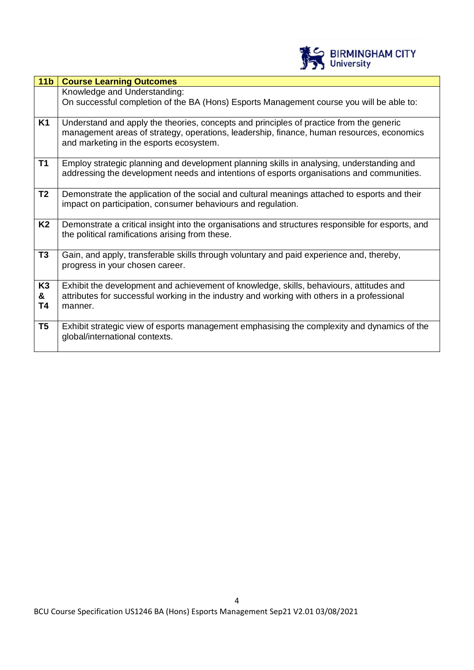

| 11 <sub>b</sub>           | <b>Course Learning Outcomes</b>                                                                                                                                                                                                 |
|---------------------------|---------------------------------------------------------------------------------------------------------------------------------------------------------------------------------------------------------------------------------|
|                           | Knowledge and Understanding:<br>On successful completion of the BA (Hons) Esports Management course you will be able to:                                                                                                        |
| K1                        | Understand and apply the theories, concepts and principles of practice from the generic<br>management areas of strategy, operations, leadership, finance, human resources, economics<br>and marketing in the esports ecosystem. |
| <b>T1</b>                 | Employ strategic planning and development planning skills in analysing, understanding and<br>addressing the development needs and intentions of esports organisations and communities.                                          |
| T <sub>2</sub>            | Demonstrate the application of the social and cultural meanings attached to esports and their<br>impact on participation, consumer behaviours and regulation.                                                                   |
| K <sub>2</sub>            | Demonstrate a critical insight into the organisations and structures responsible for esports, and<br>the political ramifications arising from these.                                                                            |
| T <sub>3</sub>            | Gain, and apply, transferable skills through voluntary and paid experience and, thereby,<br>progress in your chosen career.                                                                                                     |
| K <sub>3</sub><br>&<br>T4 | Exhibit the development and achievement of knowledge, skills, behaviours, attitudes and<br>attributes for successful working in the industry and working with others in a professional<br>manner.                               |
| T <sub>5</sub>            | Exhibit strategic view of esports management emphasising the complexity and dynamics of the<br>global/international contexts.                                                                                                   |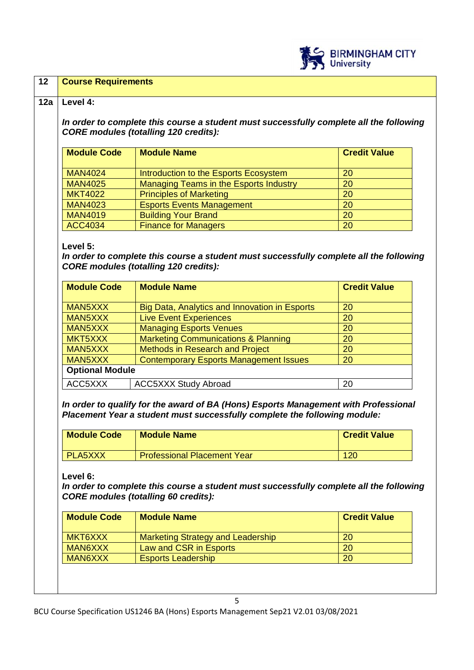

| <b>CORE modules (totalling 120 credits):</b><br><b>Module Code</b><br><b>Module Name</b><br><b>Credit Value</b> |                                                                                                                                                                                        |                     |  |
|-----------------------------------------------------------------------------------------------------------------|----------------------------------------------------------------------------------------------------------------------------------------------------------------------------------------|---------------------|--|
|                                                                                                                 |                                                                                                                                                                                        |                     |  |
| <b>MAN4024</b>                                                                                                  | Introduction to the Esports Ecosystem                                                                                                                                                  | 20                  |  |
| <b>MAN4025</b>                                                                                                  | Managing Teams in the Esports Industry                                                                                                                                                 | 20                  |  |
| <b>MKT4022</b>                                                                                                  | <b>Principles of Marketing</b>                                                                                                                                                         | 20                  |  |
| <b>MAN4023</b>                                                                                                  | <b>Esports Events Management</b>                                                                                                                                                       | 20                  |  |
| <b>MAN4019</b>                                                                                                  | <b>Building Your Brand</b>                                                                                                                                                             | 20                  |  |
| <b>ACC4034</b>                                                                                                  | <b>Finance for Managers</b>                                                                                                                                                            | 20                  |  |
|                                                                                                                 |                                                                                                                                                                                        |                     |  |
|                                                                                                                 |                                                                                                                                                                                        |                     |  |
| MAN5XXX                                                                                                         | Big Data, Analytics and Innovation in Esports                                                                                                                                          | 20                  |  |
| MAN5XXX                                                                                                         | <b>Live Event Experiences</b>                                                                                                                                                          | 20                  |  |
| MAN5XXX                                                                                                         | <b>Managing Esports Venues</b>                                                                                                                                                         | 20<br>20            |  |
| MKT5XXX                                                                                                         | <b>Marketing Communications &amp; Planning</b>                                                                                                                                         |                     |  |
| MAN5XXX                                                                                                         | <b>Methods in Research and Project</b>                                                                                                                                                 | 20                  |  |
| MAN5XXX                                                                                                         | <b>Contemporary Esports Management Issues</b>                                                                                                                                          | 20                  |  |
|                                                                                                                 | <b>Optional Module</b>                                                                                                                                                                 |                     |  |
|                                                                                                                 |                                                                                                                                                                                        |                     |  |
| ACC5XXX                                                                                                         | <b>ACC5XXX Study Abroad</b>                                                                                                                                                            | 20                  |  |
| <b>Module Code</b>                                                                                              | In order to qualify for the award of BA (Hons) Esports Management with Professional<br>Placement Year a student must successfully complete the following module:<br><b>Module Name</b> | <b>Credit Value</b> |  |
|                                                                                                                 |                                                                                                                                                                                        |                     |  |
| PLA5XXX<br>Level 6:                                                                                             | <b>Professional Placement Year</b><br>In order to complete this course a student must successfully complete all the following<br><b>CORE modules (totalling 60 credits):</b>           | 120                 |  |
| <b>Module Code</b>                                                                                              | <b>Module Name</b>                                                                                                                                                                     | <b>Credit Value</b> |  |
| MKT6XXX                                                                                                         | <b>Marketing Strategy and Leadership</b>                                                                                                                                               | 20                  |  |
| MAN6XXX                                                                                                         | Law and CSR in Esports                                                                                                                                                                 | 20                  |  |

5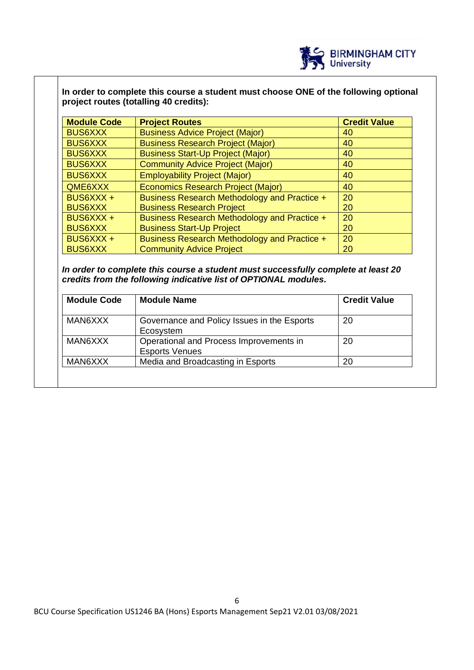

# **In order to complete this course a student must choose ONE of the following optional project routes (totalling 40 credits):**

| <b>Module Code</b> | <b>Project Routes</b>                        | <b>Credit Value</b> |
|--------------------|----------------------------------------------|---------------------|
| <b>BUS6XXX</b>     | <b>Business Advice Project (Major)</b>       | 40                  |
| <b>BUS6XXX</b>     | <b>Business Research Project (Major)</b>     | 40                  |
| <b>BUS6XXX</b>     | <b>Business Start-Up Project (Major)</b>     | 40                  |
| <b>BUS6XXX</b>     | <b>Community Advice Project (Major)</b>      | 40                  |
| <b>BUS6XXX</b>     | <b>Employability Project (Major)</b>         | 40                  |
| QME6XXX            | <b>Economics Research Project (Major)</b>    | 40                  |
| BUS6XXX +          | Business Research Methodology and Practice + | 20                  |
| <b>BUS6XXX</b>     | <b>Business Research Project</b>             | 20                  |
| BUS6XXX +          | Business Research Methodology and Practice + | 20                  |
| <b>BUS6XXX</b>     | <b>Business Start-Up Project</b>             | 20                  |
| BUS6XXX +          | Business Research Methodology and Practice + | 20                  |
| <b>BUS6XXX</b>     | <b>Community Advice Project</b>              | 20                  |

*In order to complete this course a student must successfully complete at least 20 credits from the following indicative list of OPTIONAL modules.* 

| <b>Module Code</b> | <b>Module Name</b>                                               | <b>Credit Value</b> |
|--------------------|------------------------------------------------------------------|---------------------|
| MAN6XXX            | Governance and Policy Issues in the Esports<br>Ecosystem         | 20                  |
| MAN6XXX            | Operational and Process Improvements in<br><b>Esports Venues</b> | 20                  |
| MAN6XXX            | Media and Broadcasting in Esports                                | 20                  |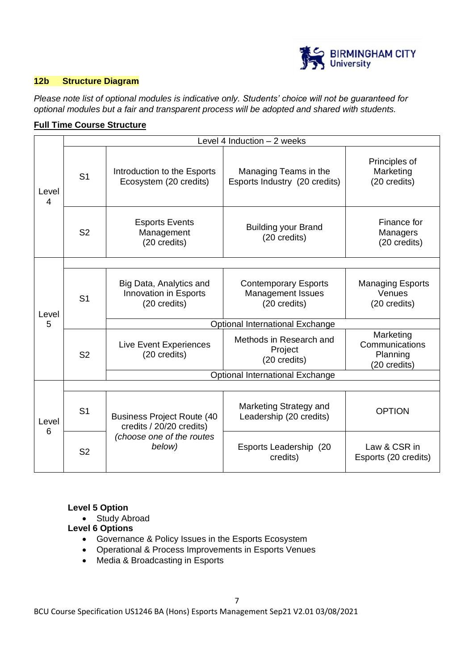

## **12b Structure Diagram**

*Please note list of optional modules is indicative only. Students' choice will not be guaranteed for optional modules but a fair and transparent process will be adopted and shared with students.*

## **Full Time Course Structure**

|            |                | Level 4 Induction - 2 weeks                                                                          |                                                                         |                                                         |  |  |
|------------|----------------|------------------------------------------------------------------------------------------------------|-------------------------------------------------------------------------|---------------------------------------------------------|--|--|
| Level<br>4 | S <sub>1</sub> | Introduction to the Esports<br>Ecosystem (20 credits)                                                | Managing Teams in the<br>Esports Industry (20 credits)                  | Principles of<br>Marketing<br>(20 credits)              |  |  |
|            | S <sub>2</sub> | <b>Esports Events</b><br>Management<br>(20 credits)                                                  | <b>Building your Brand</b><br>(20 credits)                              | Finance for<br>Managers<br>(20 credits)                 |  |  |
|            |                |                                                                                                      |                                                                         |                                                         |  |  |
| Level      | S <sub>1</sub> | Big Data, Analytics and<br>Innovation in Esports<br>(20 credits)                                     | <b>Contemporary Esports</b><br><b>Management Issues</b><br>(20 credits) | <b>Managing Esports</b><br>Venues<br>(20 credits)       |  |  |
| 5          |                |                                                                                                      | Optional International Exchange                                         |                                                         |  |  |
|            | S <sub>2</sub> | <b>Live Event Experiences</b><br>(20 credits)                                                        | Methods in Research and<br>Project<br>(20 credits)                      | Marketing<br>Communications<br>Planning<br>(20 credits) |  |  |
|            |                |                                                                                                      | Optional International Exchange                                         |                                                         |  |  |
|            |                |                                                                                                      |                                                                         |                                                         |  |  |
| Level<br>6 | S <sub>1</sub> | <b>Business Project Route (40</b><br>credits / 20/20 credits)<br>(choose one of the routes<br>below) | Marketing Strategy and<br>Leadership (20 credits)                       | <b>OPTION</b>                                           |  |  |
|            | S <sub>2</sub> |                                                                                                      | Esports Leadership<br>(20<br>credits)                                   | Law & CSR in<br>Esports (20 credits)                    |  |  |

## **Level 5 Option**

• Study Abroad

#### **Level 6 Options**

- Governance & Policy Issues in the Esports Ecosystem
- Operational & Process Improvements in Esports Venues
- Media & Broadcasting in Esports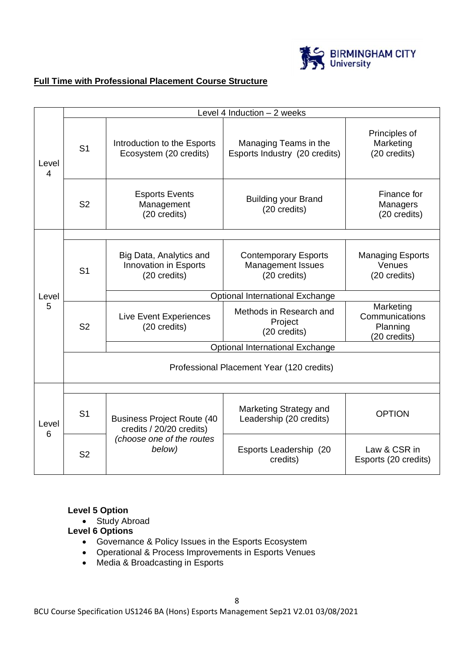

# **Full Time with Professional Placement Course Structure**

|            |                                                                                 | Level 4 Induction - 2 weeks                                             |                                                                         |                                                         |  |
|------------|---------------------------------------------------------------------------------|-------------------------------------------------------------------------|-------------------------------------------------------------------------|---------------------------------------------------------|--|
| Level<br>4 | S <sub>1</sub>                                                                  | Introduction to the Esports<br>Ecosystem (20 credits)                   | Managing Teams in the<br>Esports Industry (20 credits)                  | Principles of<br>Marketing<br>(20 credits)              |  |
|            | S <sub>2</sub>                                                                  | <b>Esports Events</b><br>Management<br>(20 credits)                     | <b>Building your Brand</b><br>(20 credits)                              | Finance for<br>Managers<br>(20 credits)                 |  |
|            |                                                                                 |                                                                         |                                                                         |                                                         |  |
|            | S <sub>1</sub>                                                                  | Big Data, Analytics and<br><b>Innovation in Esports</b><br>(20 credits) | <b>Contemporary Esports</b><br><b>Management Issues</b><br>(20 credits) | <b>Managing Esports</b><br>Venues<br>(20 credits)       |  |
| Level      |                                                                                 | Optional International Exchange                                         |                                                                         |                                                         |  |
| 5          | S <sub>2</sub>                                                                  | Live Event Experiences<br>(20 credits)                                  | Methods in Research and<br>Project<br>(20 credits)                      | Marketing<br>Communications<br>Planning<br>(20 credits) |  |
|            |                                                                                 |                                                                         | Optional International Exchange                                         |                                                         |  |
|            | Professional Placement Year (120 credits)                                       |                                                                         |                                                                         |                                                         |  |
|            |                                                                                 |                                                                         |                                                                         |                                                         |  |
| Level<br>6 | S <sub>1</sub><br><b>Business Project Route (40</b><br>credits / 20/20 credits) | Marketing Strategy and<br>Leadership (20 credits)                       | <b>OPTION</b>                                                           |                                                         |  |
|            | S <sub>2</sub>                                                                  | (choose one of the routes<br>below)                                     | Esports Leadership (20<br>credits)                                      | Law & CSR in<br>Esports (20 credits)                    |  |

# **Level 5 Option**

• Study Abroad

# **Level 6 Options**

- Governance & Policy Issues in the Esports Ecosystem
- Operational & Process Improvements in Esports Venues
- Media & Broadcasting in Esports

BCU Course Specification US1246 BA (Hons) Esports Management Sep21 V2.01 03/08/2021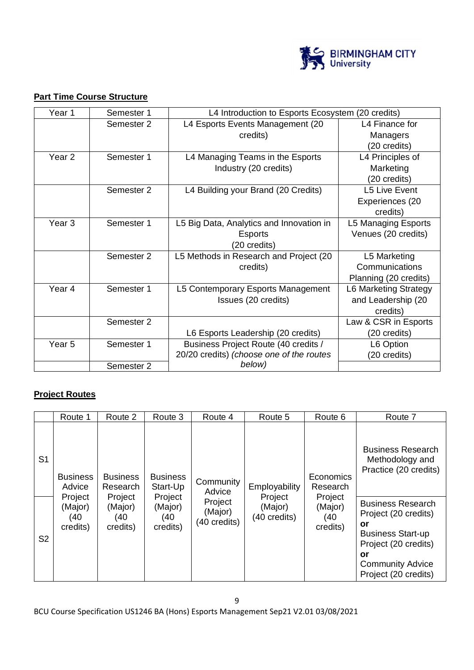

# **Part Time Course Structure**

| Year 1            | Semester 1 | L4 Introduction to Esports Ecosystem (20 credits) |                       |
|-------------------|------------|---------------------------------------------------|-----------------------|
|                   | Semester 2 | L4 Esports Events Management (20                  | L4 Finance for        |
|                   |            | credits)                                          | Managers              |
|                   |            |                                                   | (20 credits)          |
| Year <sub>2</sub> | Semester 1 | L4 Managing Teams in the Esports                  | L4 Principles of      |
|                   |            | Industry (20 credits)                             | Marketing             |
|                   |            |                                                   | (20 credits)          |
|                   | Semester 2 | L4 Building your Brand (20 Credits)               | L5 Live Event         |
|                   |            |                                                   | Experiences (20       |
|                   |            |                                                   | credits)              |
| Year <sub>3</sub> | Semester 1 | L5 Big Data, Analytics and Innovation in          | L5 Managing Esports   |
|                   |            | <b>Esports</b>                                    | Venues (20 credits)   |
|                   |            | (20 credits)                                      |                       |
|                   | Semester 2 | L5 Methods in Research and Project (20            | L5 Marketing          |
|                   |            | credits)                                          | Communications        |
|                   |            |                                                   | Planning (20 credits) |
| Year 4            | Semester 1 | L5 Contemporary Esports Management                | L6 Marketing Strategy |
|                   |            | Issues (20 credits)                               | and Leadership (20    |
|                   |            |                                                   | credits)              |
|                   | Semester 2 |                                                   | Law & CSR in Esports  |
|                   |            | L6 Esports Leadership (20 credits)                | (20 credits)          |
| Year <sub>5</sub> | Semester 1 | Business Project Route (40 credits /              | L6 Option             |
|                   |            | 20/20 credits) (choose one of the routes          | (20 credits)          |
|                   | Semester 2 | below)                                            |                       |

## **Project Routes**

|                | Route 1                                         | Route 2                                           | Route 3                                           | Route 4                                   | Route 5                             | Route 6                                     | Route 7                                                                                                                  |
|----------------|-------------------------------------------------|---------------------------------------------------|---------------------------------------------------|-------------------------------------------|-------------------------------------|---------------------------------------------|--------------------------------------------------------------------------------------------------------------------------|
| S <sub>1</sub> | <b>Business</b><br>Advice<br>Project<br>(Major) | <b>Business</b><br>Research<br>Project<br>(Major) | <b>Business</b><br>Start-Up<br>Project<br>(Major) | Community<br>Advice<br>Project<br>(Major) | Employability<br>Project<br>(Major) | Economics<br>Research<br>Project<br>(Major) | <b>Business Research</b><br>Methodology and<br>Practice (20 credits)<br><b>Business Research</b><br>Project (20 credits) |
| S <sub>2</sub> | (40<br>credits)                                 | (40<br>credits)                                   | (40<br>credits)                                   | (40 credits)                              | (40 credits)                        | (40<br>credits)                             | or<br><b>Business Start-up</b><br>Project (20 credits)<br>or<br><b>Community Advice</b><br>Project (20 credits)          |

BCU Course Specification US1246 BA (Hons) Esports Management Sep21 V2.01 03/08/2021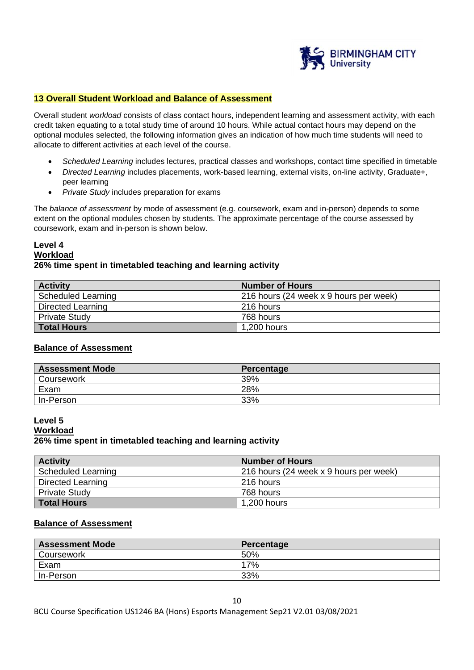

#### **13 Overall Student Workload and Balance of Assessment**

Overall student *workload* consists of class contact hours, independent learning and assessment activity, with each credit taken equating to a total study time of around 10 hours. While actual contact hours may depend on the optional modules selected, the following information gives an indication of how much time students will need to allocate to different activities at each level of the course.

- *Scheduled Learning* includes lectures, practical classes and workshops, contact time specified in timetable
- *Directed Learning* includes placements, work-based learning, external visits, on-line activity, Graduate+, peer learning
- *Private Study* includes preparation for exams

The *balance of assessment* by mode of assessment (e.g. coursework, exam and in-person) depends to some extent on the optional modules chosen by students. The approximate percentage of the course assessed by coursework, exam and in-person is shown below.

## **Level 4 Workload 26% time spent in timetabled teaching and learning activity**

| <b>Activity</b>           | <b>Number of Hours</b>                 |
|---------------------------|----------------------------------------|
| <b>Scheduled Learning</b> | 216 hours (24 week x 9 hours per week) |
| Directed Learning         | l 216 hours                            |
| <b>Private Study</b>      | 768 hours                              |
| <b>Total Hours</b>        | 1,200 hours                            |

#### **Balance of Assessment**

| <b>Assessment Mode</b> | Percentage |
|------------------------|------------|
| Coursework             | 39%        |
| Exam                   | 28%        |
| In-Person              | 33%        |

#### **Level 5**

#### **26% time spent in timetabled teaching and learning activity**

| <b>Activity</b>           | <b>Number of Hours</b>                 |
|---------------------------|----------------------------------------|
| <b>Scheduled Learning</b> | 216 hours (24 week x 9 hours per week) |
| Directed Learning         | 216 hours                              |
| <b>Private Study</b>      | 768 hours                              |
| <b>Total Hours</b>        | 1,200 hours                            |

#### **Balance of Assessment**

| <b>Assessment Mode</b> | Percentage |
|------------------------|------------|
| Coursework             | 50%        |
| Exam                   | 17%        |
| In-Person              | 33%        |

BCU Course Specification US1246 BA (Hons) Esports Management Sep21 V2.01 03/08/2021

**Workload**